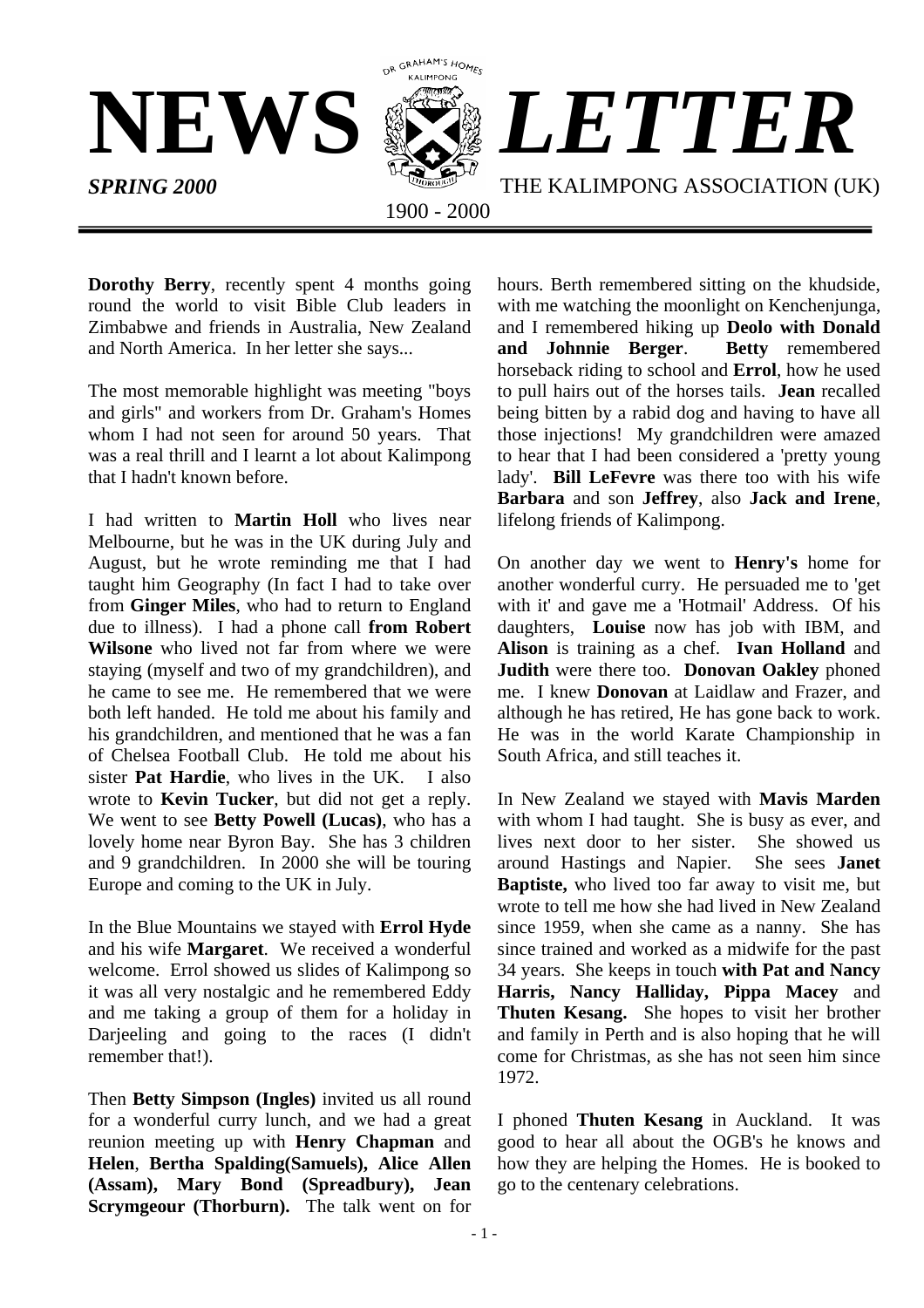

**Dorothy Berry**, recently spent 4 months going round the world to visit Bible Club leaders in Zimbabwe and friends in Australia, New Zealand and North America. In her letter she says...

The most memorable highlight was meeting "boys and girls" and workers from Dr. Graham's Homes whom I had not seen for around 50 years. That was a real thrill and I learnt a lot about Kalimpong that I hadn't known before.

I had written to **Martin Holl** who lives near Melbourne, but he was in the UK during July and August, but he wrote reminding me that I had taught him Geography (In fact I had to take over from **Ginger Miles**, who had to return to England due to illness). I had a phone call **from Robert Wilsone** who lived not far from where we were staying (myself and two of my grandchildren), and he came to see me. He remembered that we were both left handed. He told me about his family and his grandchildren, and mentioned that he was a fan of Chelsea Football Club. He told me about his sister **Pat Hardie**, who lives in the UK. I also wrote to **Kevin Tucker**, but did not get a reply. We went to see **Betty Powell (Lucas)**, who has a lovely home near Byron Bay. She has 3 children and 9 grandchildren. In 2000 she will be touring Europe and coming to the UK in July.

In the Blue Mountains we stayed with **Errol Hyde** and his wife **Margaret**. We received a wonderful welcome. Errol showed us slides of Kalimpong so it was all very nostalgic and he remembered Eddy and me taking a group of them for a holiday in Darjeeling and going to the races (I didn't remember that!).

Then **Betty Simpson (Ingles)** invited us all round for a wonderful curry lunch, and we had a great reunion meeting up with **Henry Chapman** and **Helen**, **Bertha Spalding(Samuels), Alice Allen (Assam), Mary Bond (Spreadbury), Jean Scrymgeour (Thorburn).** The talk went on for

hours. Berth remembered sitting on the khudside, with me watching the moonlight on Kenchenjunga, and I remembered hiking up **Deolo with Donald** and Johnnie Berger. horseback riding to school and **Errol**, how he used to pull hairs out of the horses tails. **Jean** recalled being bitten by a rabid dog and having to have all those injections! My grandchildren were amazed to hear that I had been considered a 'pretty young lady'. **Bill LeFevre** was there too with his wife **Barbara** and son **Jeffrey**, also **Jack and Irene**, lifelong friends of Kalimpong.

On another day we went to **Henry's** home for another wonderful curry. He persuaded me to 'get with it' and gave me a 'Hotmail' Address. Of his daughters, **Louise** now has job with IBM, and **Alison** is training as a chef. **Ivan Holland** and **Judith** were there too. **Donovan Oakley** phoned me. I knew **Donovan** at Laidlaw and Frazer, and although he has retired, He has gone back to work. He was in the world Karate Championship in South Africa, and still teaches it.

In New Zealand we stayed with **Mavis Marden** with whom I had taught. She is busy as ever, and lives next door to her sister. She showed us<br>around Hastings and Napier. She sees **Janet** around Hastings and Napier. **Baptiste,** who lived too far away to visit me, but wrote to tell me how she had lived in New Zealand since 1959, when she came as a nanny. She has since trained and worked as a midwife for the past 34 years. She keeps in touch **with Pat and Nancy Harris, Nancy Halliday, Pippa Macey** and **Thuten Kesang.** She hopes to visit her brother and family in Perth and is also hoping that he will come for Christmas, as she has not seen him since 1972.

I phoned **Thuten Kesang** in Auckland. It was good to hear all about the OGB's he knows and how they are helping the Homes. He is booked to go to the centenary celebrations.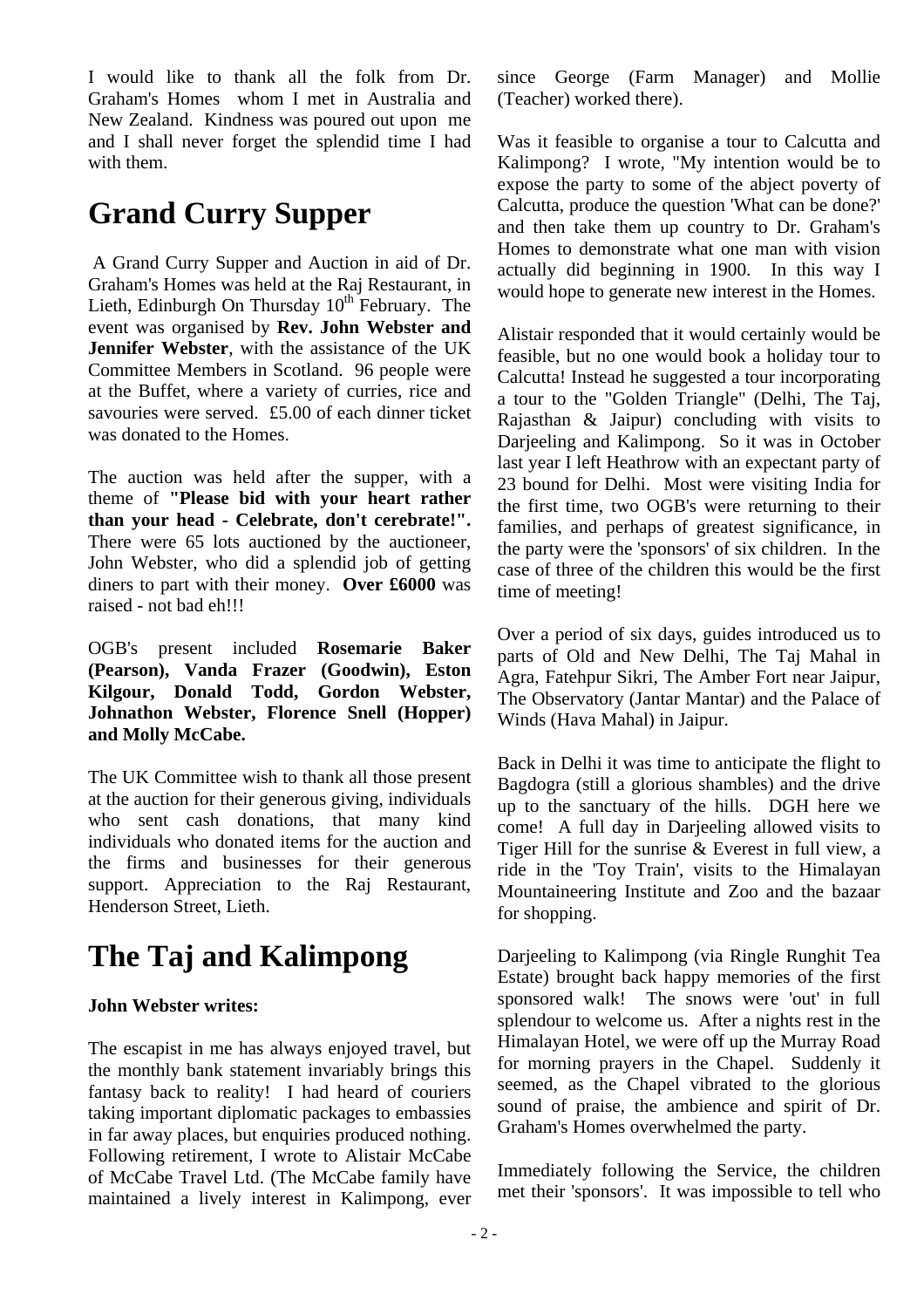I would like to thank all the folk from Dr. Graham's Homes whom I met in Australia and New Zealand. Kindness was poured out upon me and I shall never forget the splendid time I had with them.

## **Grand Curry Supper**

A Grand Curry Supper and Auction in aid of Dr. Graham's Homes was held at the Raj Restaurant, in Lieth, Edinburgh On Thursday  $10^{th}$  February. The event was organised by **Rev. John Webster and Jennifer Webster**, with the assistance of the UK Committee Members in Scotland. 96 people were at the Buffet, where a variety of curries, rice and savouries were served. £5.00 of each dinner ticket was donated to the Homes.

The auction was held after the supper, with a theme of **"Please bid with your heart rather than your head - Celebrate, don't cerebrate!".** There were 65 lots auctioned by the auctioneer, John Webster, who did a splendid job of getting diners to part with their money. **Over £6000** was raised - not bad eh!!!

OGB's present included **Rosemarie Baker (Pearson), Vanda Frazer (Goodwin), Eston Kilgour, Donald Todd, Gordon Webster, Johnathon Webster, Florence Snell (Hopper) and Molly McCabe.** 

The UK Committee wish to thank all those present at the auction for their generous giving, individuals who sent cash donations, that many kind individuals who donated items for the auction and the firms and businesses for their generous support. Appreciation to the Raj Restaurant, Henderson Street, Lieth.

## **The Taj and Kalimpong**

#### **John Webster writes:**

The escapist in me has always enjoyed travel, but the monthly bank statement invariably brings this fantasy back to reality! I had heard of couriers taking important diplomatic packages to embassies in far away places, but enquiries produced nothing. Following retirement, I wrote to Alistair McCabe of McCabe Travel Ltd. (The McCabe family have maintained a lively interest in Kalimpong, ever

since George (Farm Manager) and Mollie (Teacher) worked there).

Was it feasible to organise a tour to Calcutta and Kalimpong? I wrote, "My intention would be to expose the party to some of the abject poverty of Calcutta, produce the question 'What can be done?' and then take them up country to Dr. Graham's Homes to demonstrate what one man with vision actually did beginning in 1900. In this way I would hope to generate new interest in the Homes.

Alistair responded that it would certainly would be feasible, but no one would book a holiday tour to Calcutta! Instead he suggested a tour incorporating a tour to the "Golden Triangle" (Delhi, The Taj, Rajasthan & Jaipur) concluding with visits to Darjeeling and Kalimpong. So it was in October last year I left Heathrow with an expectant party of 23 bound for Delhi. Most were visiting India for the first time, two OGB's were returning to their families, and perhaps of greatest significance, in the party were the 'sponsors' of six children. In the case of three of the children this would be the first time of meeting!

Over a period of six days, guides introduced us to parts of Old and New Delhi, The Taj Mahal in Agra, Fatehpur Sikri, The Amber Fort near Jaipur, The Observatory (Jantar Mantar) and the Palace of Winds (Hava Mahal) in Jaipur.

Back in Delhi it was time to anticipate the flight to Bagdogra (still a glorious shambles) and the drive up to the sanctuary of the hills. DGH here we come! A full day in Darjeeling allowed visits to Tiger Hill for the sunrise & Everest in full view, a ride in the 'Toy Train', visits to the Himalayan Mountaineering Institute and Zoo and the bazaar for shopping.

Darjeeling to Kalimpong (via Ringle Runghit Tea Estate) brought back happy memories of the first sponsored walk! The snows were 'out' in full splendour to welcome us. After a nights rest in the Himalayan Hotel, we were off up the Murray Road for morning prayers in the Chapel. Suddenly it seemed, as the Chapel vibrated to the glorious sound of praise, the ambience and spirit of Dr. Graham's Homes overwhelmed the party.

Immediately following the Service, the children met their 'sponsors'. It was impossible to tell who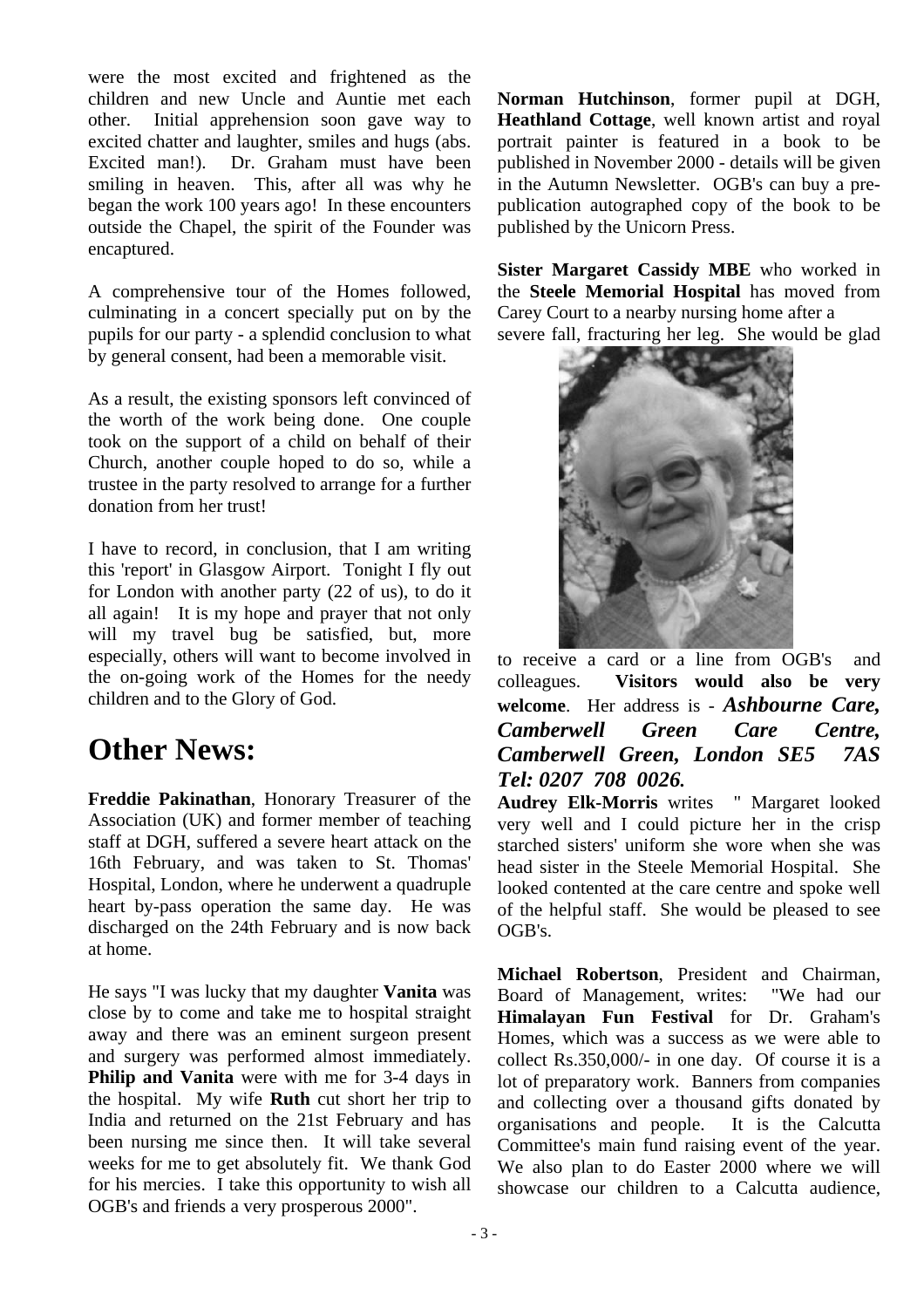were the most excited and frightened as the children and new Uncle and Auntie met each other. Initial apprehension soon gave way to excited chatter and laughter, smiles and hugs (abs. Excited man!). Dr. Graham must have been smiling in heaven. This, after all was why he began the work 100 years ago! In these encounters outside the Chapel, the spirit of the Founder was encaptured.

A comprehensive tour of the Homes followed, culminating in a concert specially put on by the pupils for our party - a splendid conclusion to what by general consent, had been a memorable visit.

As a result, the existing sponsors left convinced of the worth of the work being done. One couple took on the support of a child on behalf of their Church, another couple hoped to do so, while a trustee in the party resolved to arrange for a further donation from her trust!

I have to record, in conclusion, that I am writing this 'report' in Glasgow Airport. Tonight I fly out for London with another party (22 of us), to do it all again! It is my hope and prayer that not only will my travel bug be satisfied, but, more especially, others will want to become involved in the on-going work of the Homes for the needy children and to the Glory of God.

## **Other News:**

**Freddie Pakinathan**, Honorary Treasurer of the Association (UK) and former member of teaching staff at DGH, suffered a severe heart attack on the 16th February, and was taken to St. Thomas' Hospital, London, where he underwent a quadruple heart by-pass operation the same day. He was discharged on the 24th February and is now back at home.

He says "I was lucky that my daughter **Vanita** was close by to come and take me to hospital straight away and there was an eminent surgeon present and surgery was performed almost immediately. **Philip and Vanita** were with me for 3-4 days in the hospital. My wife **Ruth** cut short her trip to India and returned on the 21st February and has been nursing me since then. It will take several weeks for me to get absolutely fit. We thank God for his mercies. I take this opportunity to wish all OGB's and friends a very prosperous 2000".

**Norman Hutchinson**, former pupil at DGH, **Heathland Cottage**, well known artist and royal portrait painter is featured in a book to be published in November 2000 - details will be given in the Autumn Newsletter. OGB's can buy a prepublication autographed copy of the book to be published by the Unicorn Press.

**Sister Margaret Cassidy MBE** who worked in the **Steele Memorial Hospital** has moved from Carey Court to a nearby nursing home after a severe fall, fracturing her leg. She would be glad



to receive a card or a line from OGB's and colleagues. **Visitors would also be very welcome**. Her address is - *Ashbourne Care, Camberwell Green Care Centre, Camberwell Green, London SE5 7AS Tel: 0207 708 0026.* 

**Audrey Elk-Morris** writes " Margaret looked very well and I could picture her in the crisp starched sisters' uniform she wore when she was head sister in the Steele Memorial Hospital. She looked contented at the care centre and spoke well of the helpful staff. She would be pleased to see OGB's.

**Michael Robertson**, President and Chairman, Board of Management, writes: "We had our **Himalayan Fun Festival** for Dr. Graham's Homes, which was a success as we were able to collect Rs.350,000/- in one day. Of course it is a lot of preparatory work. Banners from companies and collecting over a thousand gifts donated by organisations and people. It is the Calcutta Committee's main fund raising event of the year. We also plan to do Easter 2000 where we will showcase our children to a Calcutta audience.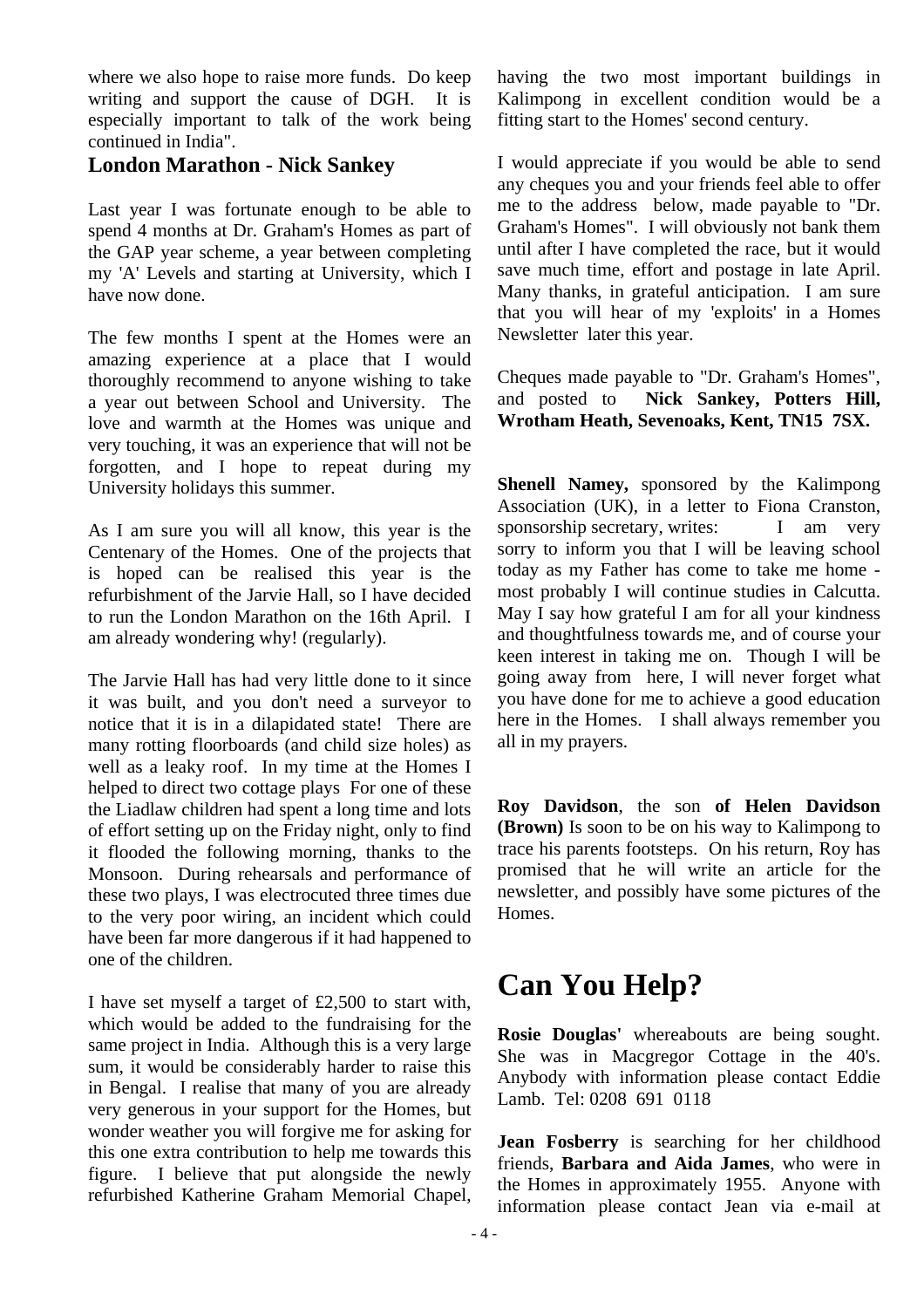where we also hope to raise more funds. Do keep writing and support the cause of DGH. It is especially important to talk of the work being continued in India".

#### **London Marathon - Nick Sankey**

Last year I was fortunate enough to be able to spend 4 months at Dr. Graham's Homes as part of the GAP year scheme, a year between completing my 'A' Levels and starting at University, which I have now done.

The few months I spent at the Homes were an amazing experience at a place that I would thoroughly recommend to anyone wishing to take a year out between School and University. The love and warmth at the Homes was unique and very touching, it was an experience that will not be forgotten, and I hope to repeat during my University holidays this summer.

As I am sure you will all know, this year is the Centenary of the Homes. One of the projects that is hoped can be realised this year is the refurbishment of the Jarvie Hall, so I have decided to run the London Marathon on the 16th April. I am already wondering why! (regularly).

The Jarvie Hall has had very little done to it since it was built, and you don't need a surveyor to notice that it is in a dilapidated state! There are many rotting floorboards (and child size holes) as well as a leaky roof. In my time at the Homes I helped to direct two cottage plays For one of these the Liadlaw children had spent a long time and lots of effort setting up on the Friday night, only to find it flooded the following morning, thanks to the Monsoon. During rehearsals and performance of these two plays, I was electrocuted three times due to the very poor wiring, an incident which could have been far more dangerous if it had happened to one of the children.

I have set myself a target of £2,500 to start with, which would be added to the fundraising for the same project in India. Although this is a very large sum, it would be considerably harder to raise this in Bengal. I realise that many of you are already very generous in your support for the Homes, but wonder weather you will forgive me for asking for this one extra contribution to help me towards this figure. I believe that put alongside the newly refurbished Katherine Graham Memorial Chapel,

having the two most important buildings in Kalimpong in excellent condition would be a fitting start to the Homes' second century.

I would appreciate if you would be able to send any cheques you and your friends feel able to offer me to the address below, made payable to "Dr. Graham's Homes". I will obviously not bank them until after I have completed the race, but it would save much time, effort and postage in late April. Many thanks, in grateful anticipation. I am sure that you will hear of my 'exploits' in a Homes Newsletter later this year.

Cheques made payable to "Dr. Graham's Homes", and posted to **Nick Sankey, Potters Hill, Wrotham Heath, Sevenoaks, Kent, TN15 7SX.** 

**Shenell Namey,** sponsored by the Kalimpong Association (UK), in a letter to Fiona Cranston, sponsorship secretary, writes: I am very sorry to inform you that I will be leaving school today as my Father has come to take me home most probably I will continue studies in Calcutta. May I say how grateful I am for all your kindness and thoughtfulness towards me, and of course your keen interest in taking me on. Though I will be going away from here, I will never forget what you have done for me to achieve a good education here in the Homes. I shall always remember you all in my prayers.

**Roy Davidson**, the son **of Helen Davidson (Brown)** Is soon to be on his way to Kalimpong to trace his parents footsteps. On his return, Roy has promised that he will write an article for the newsletter, and possibly have some pictures of the Homes.

## **Can You Help?**

**Rosie Douglas'** whereabouts are being sought. She was in Macgregor Cottage in the 40's. Anybody with information please contact Eddie Lamb. Tel: 0208 691 0118

**Jean Fosberry** is searching for her childhood friends, **Barbara and Aida James**, who were in the Homes in approximately 1955. Anyone with information please contact Jean via e-mail at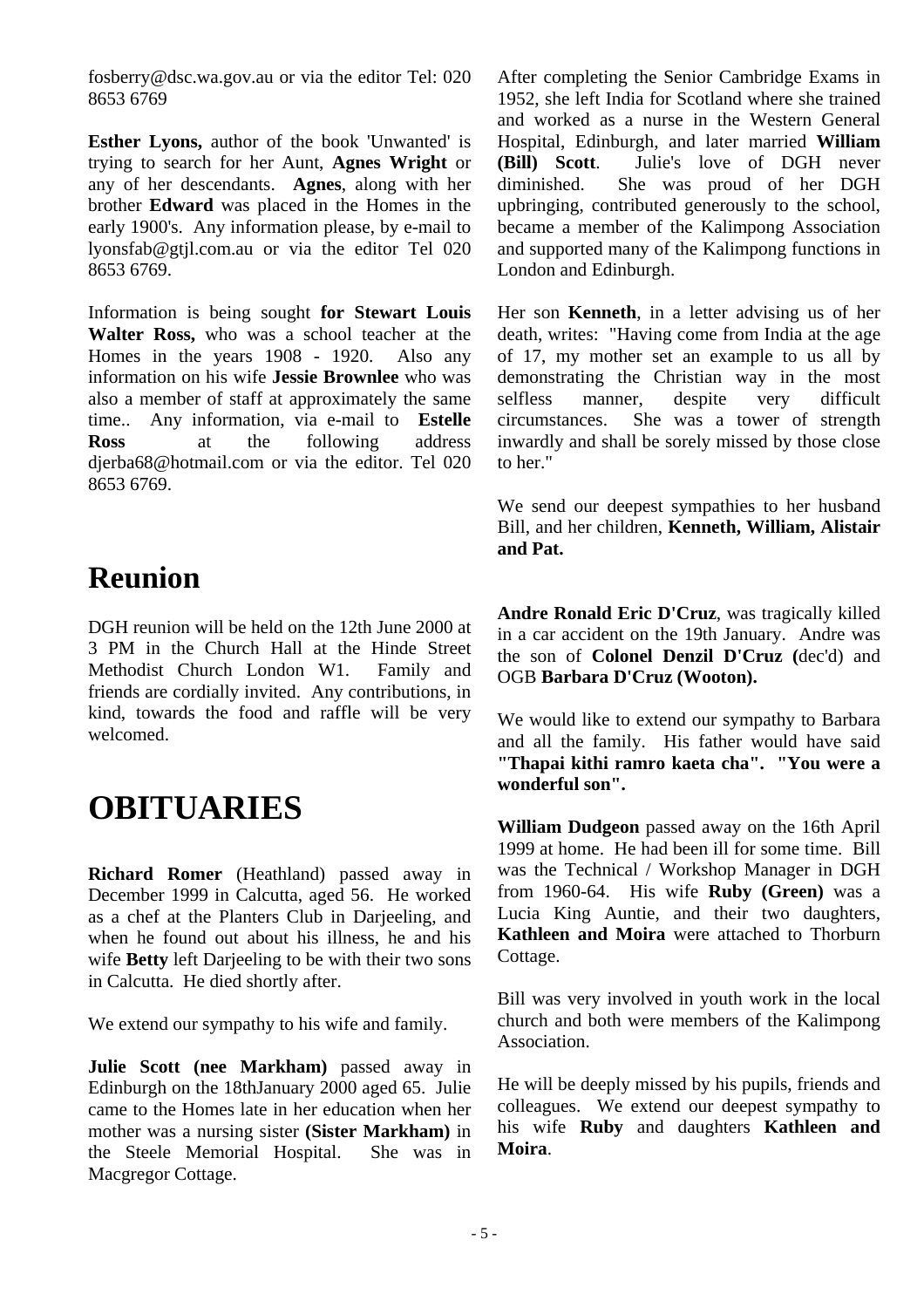fosberry@dsc.wa.gov.au or via the editor Tel: 020 8653 6769

**Esther Lyons,** author of the book 'Unwanted' is trying to search for her Aunt, **Agnes Wright** or any of her descendants. **Agnes**, along with her brother **Edward** was placed in the Homes in the early 1900's. Any information please, by e-mail to lyonsfab@gtjl.com.au or via the editor Tel 020 8653 6769.

Information is being sought **for Stewart Louis Walter Ross,** who was a school teacher at the Homes in the years 1908 - 1920. Also any information on his wife **Jessie Brownlee** who was also a member of staff at approximately the same time.. Any information, via e-mail to **Estelle Ross** at the following address djerba68@hotmail.com or via the editor. Tel 020 8653 6769.

## **Reunion**

DGH reunion will be held on the 12th June 2000 at 3 PM in the Church Hall at the Hinde Street Methodist Church London W1. Family and friends are cordially invited. Any contributions, in kind, towards the food and raffle will be very welcomed.

# **OBITUARIES**

**Richard Romer** (Heathland) passed away in December 1999 in Calcutta, aged 56. He worked as a chef at the Planters Club in Darjeeling, and when he found out about his illness, he and his wife **Betty** left Darjeeling to be with their two sons in Calcutta. He died shortly after.

We extend our sympathy to his wife and family.

**Julie Scott (nee Markham)** passed away in Edinburgh on the 18thJanuary 2000 aged 65. Julie came to the Homes late in her education when her mother was a nursing sister **(Sister Markham)** in the Steele Memorial Hospital. She was in Macgregor Cottage.

After completing the Senior Cambridge Exams in 1952, she left India for Scotland where she trained and worked as a nurse in the Western General Hospital, Edinburgh, and later married **William (Bill) Scott**. Julie's love of DGH never diminished. She was proud of her DGH upbringing, contributed generously to the school, became a member of the Kalimpong Association and supported many of the Kalimpong functions in London and Edinburgh.

Her son **Kenneth**, in a letter advising us of her death, writes: "Having come from India at the age of 17, my mother set an example to us all by demonstrating the Christian way in the most selfless manner, despite very difficult circumstances. She was a tower of strength inwardly and shall be sorely missed by those close to her."

We send our deepest sympathies to her husband Bill, and her children, **Kenneth, William, Alistair and Pat.** 

**Andre Ronald Eric D'Cruz**, was tragically killed in a car accident on the 19th January. Andre was the son of **Colonel Denzil D'Cruz (**dec'd) and OGB **Barbara D'Cruz (Wooton).** 

We would like to extend our sympathy to Barbara and all the family. His father would have said **"Thapai kithi ramro kaeta cha". "You were a wonderful son".** 

**William Dudgeon** passed away on the 16th April 1999 at home. He had been ill for some time. Bill was the Technical / Workshop Manager in DGH from 1960-64. His wife **Ruby (Green)** was a Lucia King Auntie, and their two daughters, **Kathleen and Moira** were attached to Thorburn Cottage.

Bill was very involved in youth work in the local church and both were members of the Kalimpong Association.

He will be deeply missed by his pupils, friends and colleagues. We extend our deepest sympathy to his wife **Ruby** and daughters **Kathleen and Moira**.